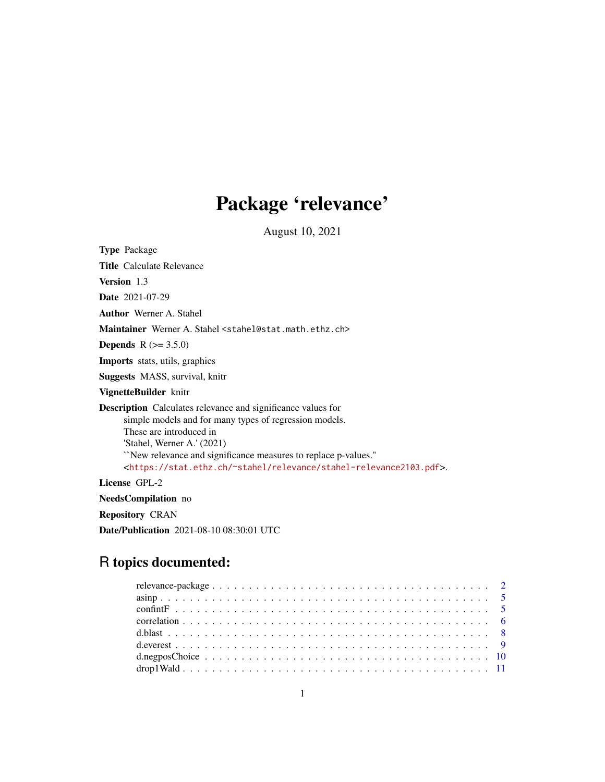# Package 'relevance'

August 10, 2021

<span id="page-0-0"></span>

| <b>Type Package</b>                                                                                                                                                                                                                                                                                                                                                  |
|----------------------------------------------------------------------------------------------------------------------------------------------------------------------------------------------------------------------------------------------------------------------------------------------------------------------------------------------------------------------|
| <b>Title</b> Calculate Relevance                                                                                                                                                                                                                                                                                                                                     |
| <b>Version</b> 1.3                                                                                                                                                                                                                                                                                                                                                   |
| <b>Date</b> 2021-07-29                                                                                                                                                                                                                                                                                                                                               |
| <b>Author</b> Werner A. Stahel                                                                                                                                                                                                                                                                                                                                       |
| Maintainer Werner A. Stahel <stahel@stat.math.ethz.ch></stahel@stat.math.ethz.ch>                                                                                                                                                                                                                                                                                    |
| <b>Depends</b> $R (= 3.5.0)$                                                                                                                                                                                                                                                                                                                                         |
| <b>Imports</b> stats, utils, graphics                                                                                                                                                                                                                                                                                                                                |
| <b>Suggests</b> MASS, survival, knitr                                                                                                                                                                                                                                                                                                                                |
| VignetteBuilder knitr                                                                                                                                                                                                                                                                                                                                                |
| <b>Description</b> Calculates relevance and significance values for<br>simple models and for many types of regression models.<br>These are introduced in<br>'Stahel, Werner A.' (2021)<br>"New relevance and significance measures to replace p-values."<br><https: relevance="" stahel-relevance2103.pdf="" stat.ethz.ch="" ~stahel="">.<br/>License GPL-2</https:> |
| <b>NeedsCompilation</b> no                                                                                                                                                                                                                                                                                                                                           |
|                                                                                                                                                                                                                                                                                                                                                                      |

Repository CRAN

Date/Publication 2021-08-10 08:30:01 UTC

# R topics documented: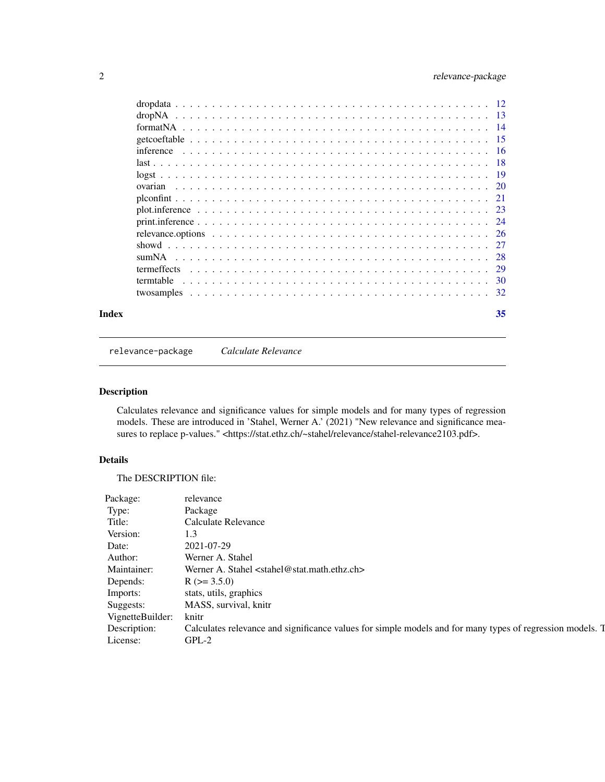# <span id="page-1-0"></span>2 relevance-package

| Index | 35 |
|-------|----|
|       |    |
|       |    |
|       |    |
|       |    |
|       |    |
|       |    |
|       |    |
|       |    |
|       |    |
|       |    |
|       |    |
|       |    |
|       |    |
|       |    |
|       |    |
|       |    |
|       |    |

<span id="page-1-1"></span>relevance-package *Calculate Relevance*

# Description

Calculates relevance and significance values for simple models and for many types of regression models. These are introduced in 'Stahel, Werner A.' (2021) "New relevance and significance measures to replace p-values." <https://stat.ethz.ch/~stahel/relevance/stahel-relevance2103.pdf>.

# Details

The DESCRIPTION file:

| Package:         | relevance                                                                                                 |
|------------------|-----------------------------------------------------------------------------------------------------------|
| Type:            | Package                                                                                                   |
| Title:           | <b>Calculate Relevance</b>                                                                                |
| Version:         | 1.3                                                                                                       |
| Date:            | 2021-07-29                                                                                                |
| Author:          | Werner A. Stahel                                                                                          |
| Maintainer:      | Werner A. Stahel <stahel@stat.math.ethz.ch></stahel@stat.math.ethz.ch>                                    |
| Depends:         | $R$ ( $>=$ 3.5.0)                                                                                         |
| Imports:         | stats, utils, graphics                                                                                    |
| Suggests:        | MASS, survival, knitr                                                                                     |
| VignetteBuilder: | knitr                                                                                                     |
| Description:     | Calculates relevance and significance values for simple models and for many types of regression models. T |
| License:         | $GPL-2$                                                                                                   |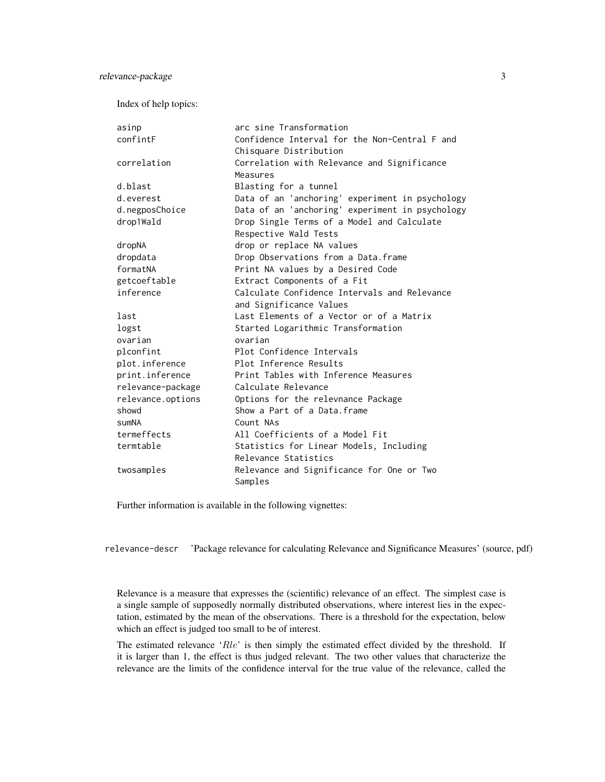Index of help topics:

| asinp             | arc sine Transformation                         |
|-------------------|-------------------------------------------------|
| confintF          | Confidence Interval for the Non-Central F and   |
|                   | Chisquare Distribution                          |
| correlation       | Correlation with Relevance and Significance     |
|                   | Measures                                        |
| d.blast           | Blasting for a tunnel                           |
| d.everest         | Data of an 'anchoring' experiment in psychology |
| d.negposChoice    | Data of an 'anchoring' experiment in psychology |
| drop1Wald         | Drop Single Terms of a Model and Calculate      |
|                   | Respective Wald Tests                           |
| dropNA            | drop or replace NA values                       |
| dropdata          | Drop Observations from a Data.frame             |
| formatNA          | Print NA values by a Desired Code               |
| getcoeftable      | Extract Components of a Fit                     |
| inference         | Calculate Confidence Intervals and Relevance    |
|                   | and Significance Values                         |
| last              | Last Elements of a Vector or of a Matrix        |
| logst             | Started Logarithmic Transformation              |
| ovarian           | ovarian                                         |
| plconfint         | Plot Confidence Intervals                       |
| plot.inference    | Plot Inference Results                          |
| print.inference   | Print Tables with Inference Measures            |
| relevance-package | Calculate Relevance                             |
| relevance.options | Options for the relevnance Package              |
| showd             | Show a Part of a Data.frame                     |
| sumNA             | Count NAs                                       |
| termeffects       | All Coefficients of a Model Fit                 |
| termtable         | Statistics for Linear Models, Including         |
|                   | Relevance Statistics                            |
| twosamples        | Relevance and Significance for One or Two       |
|                   | Samples                                         |

Further information is available in the following vignettes:

relevance-descr 'Package relevance for calculating Relevance and Significance Measures' (source, pdf)

Relevance is a measure that expresses the (scientific) relevance of an effect. The simplest case is a single sample of supposedly normally distributed observations, where interest lies in the expectation, estimated by the mean of the observations. There is a threshold for the expectation, below which an effect is judged too small to be of interest.

The estimated relevance 'Rle' is then simply the estimated effect divided by the threshold. If it is larger than 1, the effect is thus judged relevant. The two other values that characterize the relevance are the limits of the confidence interval for the true value of the relevance, called the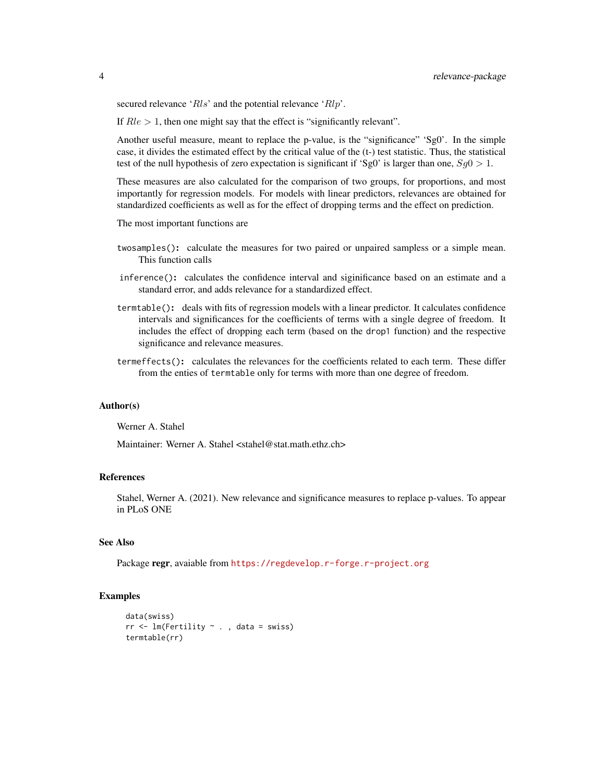secured relevance ' $Rls$ ' and the potential relevance ' $Rlp$ '.

If  $Rle > 1$ , then one might say that the effect is "significantly relevant".

Another useful measure, meant to replace the p-value, is the "significance" 'Sg0'. In the simple case, it divides the estimated effect by the critical value of the (t-) test statistic. Thus, the statistical test of the null hypothesis of zero expectation is significant if 'Sg0' is larger than one,  $Sg0 > 1$ .

These measures are also calculated for the comparison of two groups, for proportions, and most importantly for regression models. For models with linear predictors, relevances are obtained for standardized coefficients as well as for the effect of dropping terms and the effect on prediction.

The most important functions are

- twosamples(): calculate the measures for two paired or unpaired sampless or a simple mean. This function calls
- inference(): calculates the confidence interval and siginificance based on an estimate and a standard error, and adds relevance for a standardized effect.
- termtable(): deals with fits of regression models with a linear predictor. It calculates confidence intervals and significances for the coefficients of terms with a single degree of freedom. It includes the effect of dropping each term (based on the drop1 function) and the respective significance and relevance measures.
- termeffects(): calculates the relevances for the coefficients related to each term. These differ from the enties of termtable only for terms with more than one degree of freedom.

#### Author(s)

Werner A. Stahel

Maintainer: Werner A. Stahel <stahel@stat.math.ethz.ch>

# References

Stahel, Werner A. (2021). New relevance and significance measures to replace p-values. To appear in PLoS ONE

# See Also

Package regr, avaiable from <https://regdevelop.r-forge.r-project.org>

```
data(swiss)
rr < -1m(Fertility \sim ., data = swiss)
termtable(rr)
```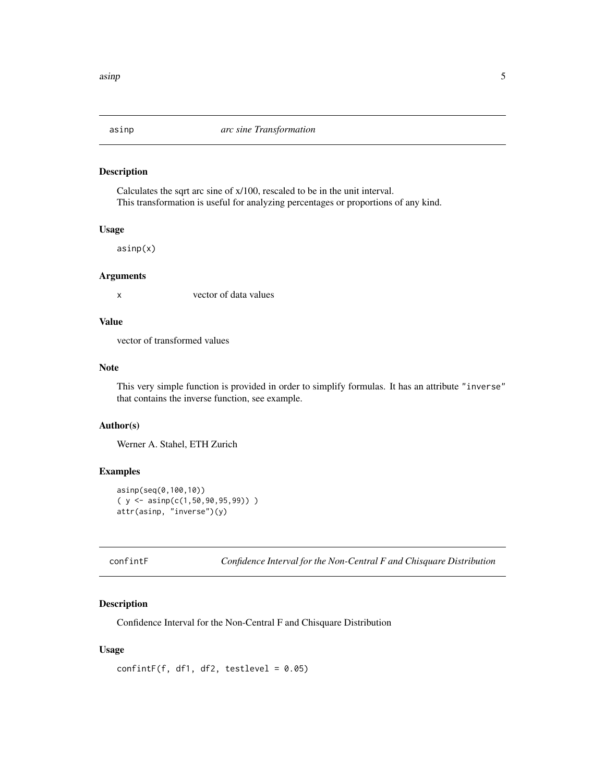<span id="page-4-0"></span>

Calculates the sqrt arc sine of x/100, rescaled to be in the unit interval. This transformation is useful for analyzing percentages or proportions of any kind.

#### Usage

asinp(x)

# Arguments

x vector of data values

# Value

vector of transformed values

#### Note

This very simple function is provided in order to simplify formulas. It has an attribute "inverse" that contains the inverse function, see example.

# Author(s)

Werner A. Stahel, ETH Zurich

# Examples

```
asinp(seq(0,100,10))
(y \leq -\operatorname{asinp}(c(1, 50, 90, 95, 99)) )attr(asinp, "inverse")(y)
```
confintF *Confidence Interval for the Non-Central F and Chisquare Distribution*

# Description

Confidence Interval for the Non-Central F and Chisquare Distribution

#### Usage

```
confintF(f, df1, df2, testlevel = 0.05)
```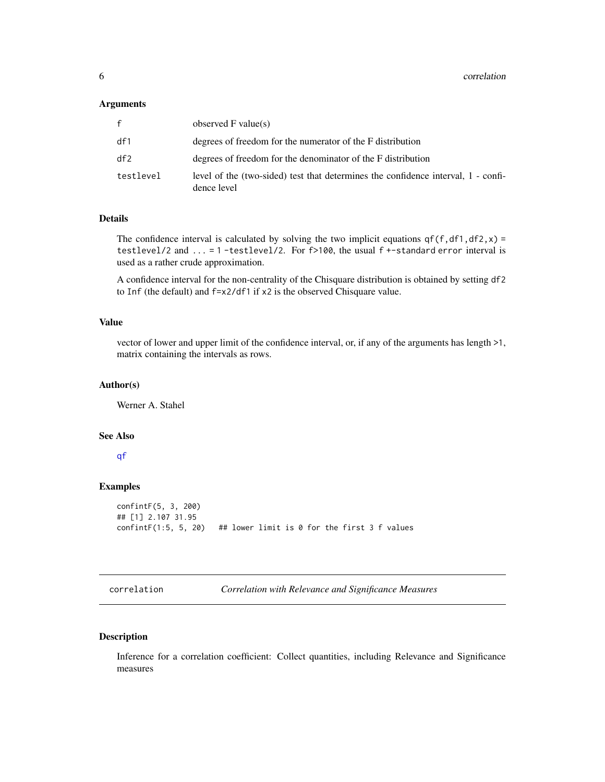#### <span id="page-5-0"></span>Arguments

| f         | observed $F$ value(s)                                                                            |
|-----------|--------------------------------------------------------------------------------------------------|
| df1       | degrees of freedom for the numerator of the F distribution                                       |
| df2       | degrees of freedom for the denominator of the F distribution                                     |
| testlevel | level of the (two-sided) test that determines the confidence interval, 1 - confi-<br>dence level |

# Details

The confidence interval is calculated by solving the two implicit equations  $q f(f, df1, df2, x) =$ testlevel/2 and ... = 1 -testlevel/2. For f>100, the usual f +-standard error interval is used as a rather crude approximation.

A confidence interval for the non-centrality of the Chisquare distribution is obtained by setting df2 to Inf (the default) and f=x2/df1 if x2 is the observed Chisquare value.

# Value

vector of lower and upper limit of the confidence interval, or, if any of the arguments has length >1, matrix containing the intervals as rows.

# Author(s)

Werner A. Stahel

# See Also

#### [qf](#page-0-0)

# Examples

```
confintF(5, 3, 200)
## [1] 2.107 31.95
confintF(1:5, 5, 20) ## lower limit is 0 for the first 3 f values
```
correlation *Correlation with Relevance and Significance Measures*

# Description

Inference for a correlation coefficient: Collect quantities, including Relevance and Significance measures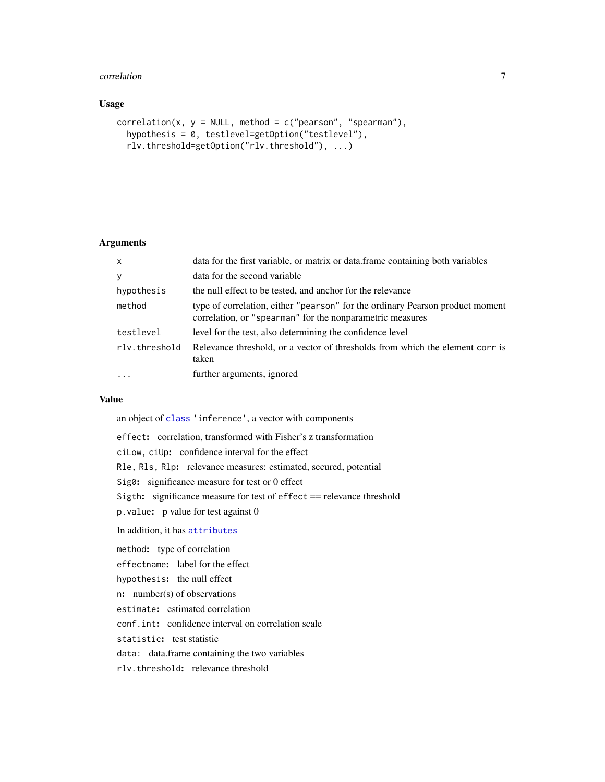#### <span id="page-6-0"></span>correlation 7

# Usage

```
correlation(x, y = NULL, method = c("pearson", "spearman"),hypothesis = 0, testlevel=getOption("testlevel"),
  rlv.threshold=getOption("rlv.threshold"), ...)
```
## Arguments

| $\mathsf{x}$  | data for the first variable, or matrix or data frame containing both variables                                                             |
|---------------|--------------------------------------------------------------------------------------------------------------------------------------------|
| y             | data for the second variable                                                                                                               |
| hypothesis    | the null effect to be tested, and anchor for the relevance                                                                                 |
| method        | type of correlation, either "pearson" for the ordinary Pearson product moment<br>correlation, or "spearman" for the nonparametric measures |
| testlevel     | level for the test, also determining the confidence level                                                                                  |
| rlv.threshold | Relevance threshold, or a vector of thresholds from which the element corr is<br>taken                                                     |
| $\ddots$      | further arguments, ignored                                                                                                                 |

# Value

an object of [class](#page-0-0) 'inference', a vector with components

effect: correlation, transformed with Fisher's z transformation ciLow, ciUp: confidence interval for the effect Rle, Rls, Rlp: relevance measures: estimated, secured, potential Sig0: significance measure for test or 0 effect Sigth: significance measure for test of effect == relevance threshold p.value: p value for test against 0 In addition, it has [attributes](#page-0-0) method: type of correlation effectname: label for the effect hypothesis: the null effect n: number(s) of observations estimate: estimated correlation conf.int: confidence interval on correlation scale statistic: test statistic data: data.frame containing the two variables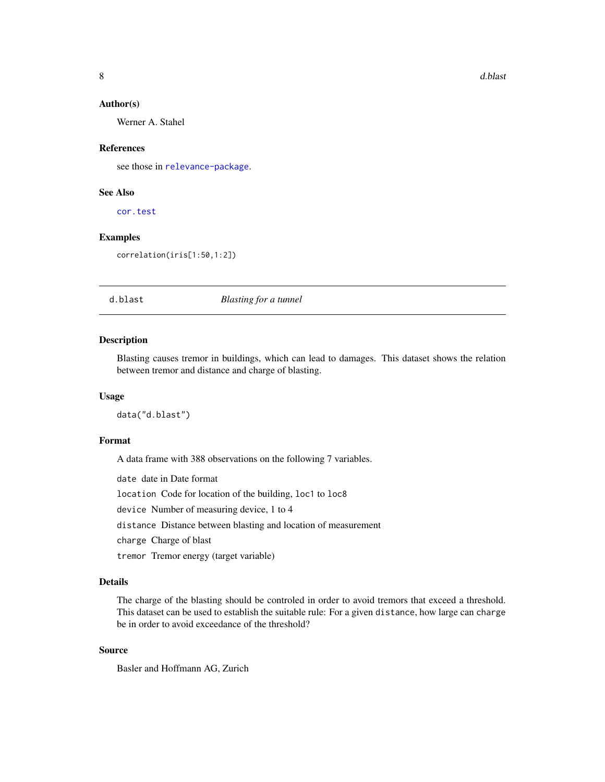#### <span id="page-7-0"></span>Author(s)

Werner A. Stahel

#### References

see those in [relevance-package](#page-1-1).

### See Also

[cor.test](#page-0-0)

# Examples

correlation(iris[1:50,1:2])

#### d.blast *Blasting for a tunnel*

# Description

Blasting causes tremor in buildings, which can lead to damages. This dataset shows the relation between tremor and distance and charge of blasting.

#### Usage

data("d.blast")

#### Format

A data frame with 388 observations on the following 7 variables.

date date in Date format location Code for location of the building, loc1 to loc8 device Number of measuring device, 1 to 4 distance Distance between blasting and location of measurement charge Charge of blast tremor Tremor energy (target variable)

#### Details

The charge of the blasting should be controled in order to avoid tremors that exceed a threshold. This dataset can be used to establish the suitable rule: For a given distance, how large can charge be in order to avoid exceedance of the threshold?

# Source

Basler and Hoffmann AG, Zurich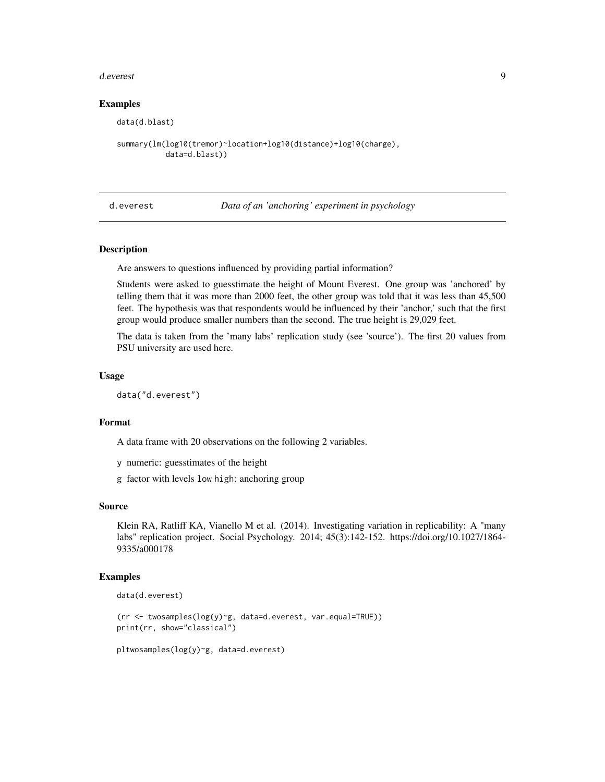#### <span id="page-8-0"></span>d.everest 99

#### Examples

```
data(d.blast)
summary(lm(log10(tremor)~location+log10(distance)+log10(charge),
           data=d.blast))
```
d.everest *Data of an 'anchoring' experiment in psychology*

#### Description

Are answers to questions influenced by providing partial information?

Students were asked to guesstimate the height of Mount Everest. One group was 'anchored' by telling them that it was more than 2000 feet, the other group was told that it was less than 45,500 feet. The hypothesis was that respondents would be influenced by their 'anchor,' such that the first group would produce smaller numbers than the second. The true height is 29,029 feet.

The data is taken from the 'many labs' replication study (see 'source'). The first 20 values from PSU university are used here.

#### Usage

data("d.everest")

#### Format

A data frame with 20 observations on the following 2 variables.

y numeric: guesstimates of the height

g factor with levels low high: anchoring group

# Source

Klein RA, Ratliff KA, Vianello M et al. (2014). Investigating variation in replicability: A "many labs" replication project. Social Psychology. 2014; 45(3):142-152. https://doi.org/10.1027/1864- 9335/a000178

#### Examples

```
data(d.everest)
```

```
(rr <- twosamples(log(y)~g, data=d.everest, var.equal=TRUE))
print(rr, show="classical")
```
pltwosamples(log(y)~g, data=d.everest)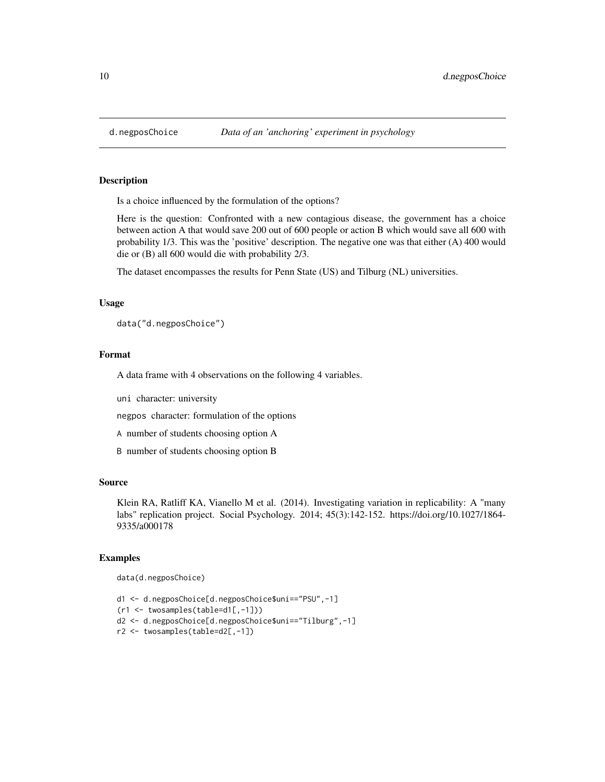Is a choice influenced by the formulation of the options?

Here is the question: Confronted with a new contagious disease, the government has a choice between action A that would save 200 out of 600 people or action B which would save all 600 with probability 1/3. This was the 'positive' description. The negative one was that either (A) 400 would die or (B) all 600 would die with probability 2/3.

The dataset encompasses the results for Penn State (US) and Tilburg (NL) universities.

# Usage

data("d.negposChoice")

#### Format

A data frame with 4 observations on the following 4 variables.

uni character: university

negpos character: formulation of the options

A number of students choosing option A

B number of students choosing option B

# Source

Klein RA, Ratliff KA, Vianello M et al. (2014). Investigating variation in replicability: A "many labs" replication project. Social Psychology. 2014; 45(3):142-152. https://doi.org/10.1027/1864- 9335/a000178

```
data(d.negposChoice)
```

```
d1 <- d.negposChoice[d.negposChoice$uni=="PSU",-1]
(r1 <- twosamples(table=d1[,-1]))
d2 <- d.negposChoice[d.negposChoice$uni=="Tilburg",-1]
r2 <- twosamples(table=d2[,-1])
```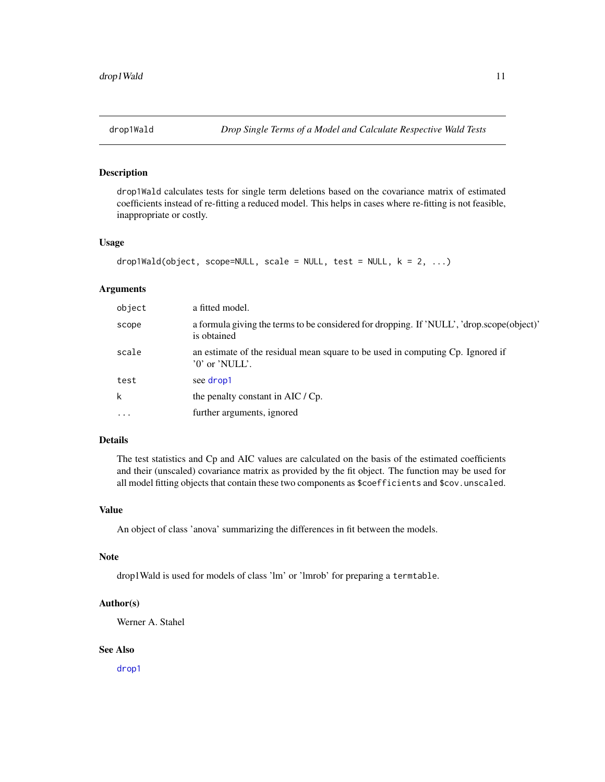<span id="page-10-0"></span>

drop1Wald calculates tests for single term deletions based on the covariance matrix of estimated coefficients instead of re-fitting a reduced model. This helps in cases where re-fitting is not feasible, inappropriate or costly.

#### Usage

```
drop1Wald(object, scope=NULL, scale = NULL, test = NULL, k = 2, ...)
```
#### Arguments

| object   | a fitted model.                                                                                          |
|----------|----------------------------------------------------------------------------------------------------------|
| scope    | a formula giving the terms to be considered for dropping. If 'NULL', 'drop.scope(object)'<br>is obtained |
| scale    | an estimate of the residual mean square to be used in computing Cp. Ignored if<br>$'0'$ or 'NULL'.       |
| test     | see drop1                                                                                                |
| k        | the penalty constant in AIC / Cp.                                                                        |
| $\cdots$ | further arguments, ignored                                                                               |

# Details

The test statistics and Cp and AIC values are calculated on the basis of the estimated coefficients and their (unscaled) covariance matrix as provided by the fit object. The function may be used for all model fitting objects that contain these two components as \$coefficients and \$cov.unscaled.

#### Value

An object of class 'anova' summarizing the differences in fit between the models.

#### Note

drop1Wald is used for models of class 'lm' or 'lmrob' for preparing a termtable.

# Author(s)

Werner A. Stahel

# See Also

[drop1](#page-0-0)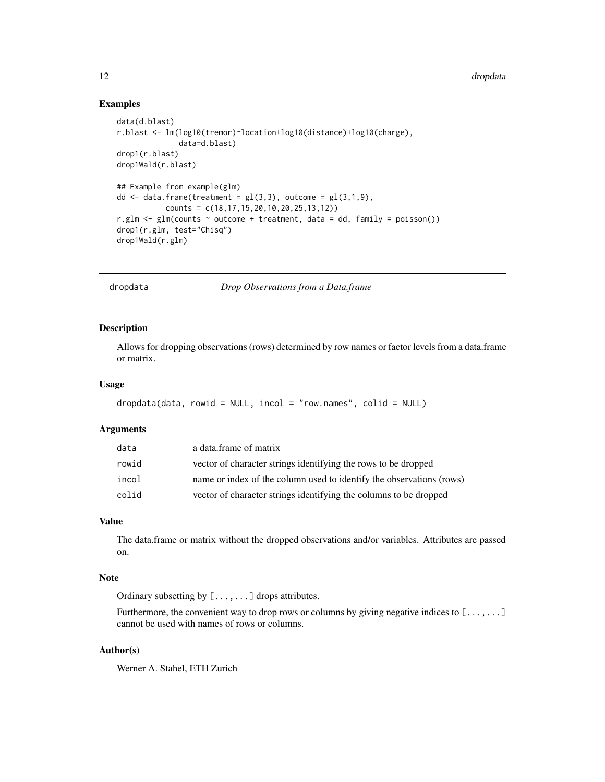# Examples

```
data(d.blast)
r.blast <- lm(log10(tremor)~location+log10(distance)+log10(charge),
              data=d.blast)
drop1(r.blast)
drop1Wald(r.blast)
## Example from example(glm)
dd \leq data.frame(treatment = gl(3,3), outcome = gl(3,1,9),
           counts = c(18,17,15,20,10,20,25,13,12))
r.glm <- glm(counts ~ outcome + treatment, data = dd, family = poisson())
drop1(r.glm, test="Chisq")
drop1Wald(r.glm)
```
dropdata *Drop Observations from a Data.frame*

#### Description

Allows for dropping observations (rows) determined by row names or factor levels from a data.frame or matrix.

# Usage

```
dropdata(data, rowid = NULL, incol = "row.names", colid = NULL)
```
#### Arguments

| data  | a data frame of matrix                                               |
|-------|----------------------------------------------------------------------|
| rowid | vector of character strings identifying the rows to be dropped       |
| incol | name or index of the column used to identify the observations (rows) |
| colid | vector of character strings identifying the columns to be dropped    |

#### Value

The data.frame or matrix without the dropped observations and/or variables. Attributes are passed on.

#### Note

Ordinary subsetting by [...,...] drops attributes.

Furthermore, the convenient way to drop rows or columns by giving negative indices to  $[\ldots, \ldots]$ cannot be used with names of rows or columns.

# Author(s)

Werner A. Stahel, ETH Zurich

<span id="page-11-0"></span>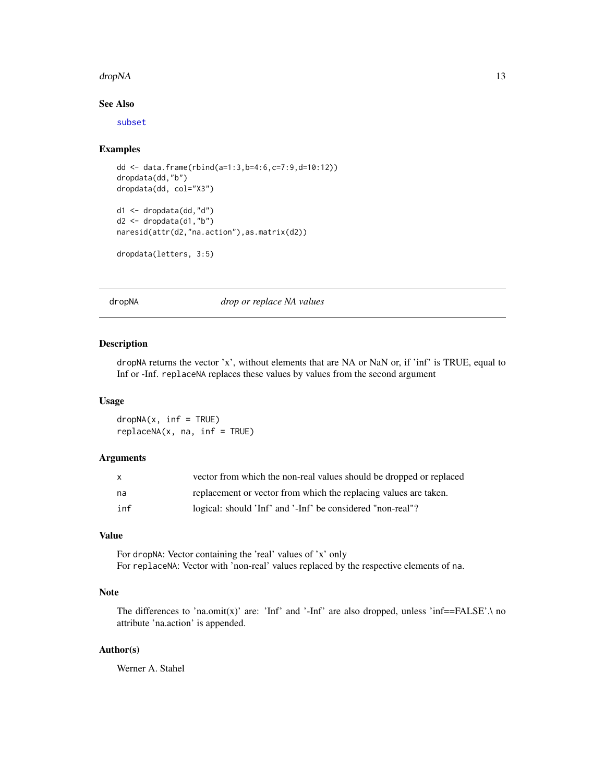#### <span id="page-12-0"></span>dropNA and the state of the state of the state of the state of the state of the state of the state of the state of the state of the state of the state of the state of the state of the state of the state of the state of the

# See Also

[subset](#page-0-0)

#### Examples

```
dd <- data.frame(rbind(a=1:3,b=4:6,c=7:9,d=10:12))
dropdata(dd,"b")
dropdata(dd, col="X3")
d1 <- dropdata(dd,"d")
d2 \le - dropdata(d1, "b")
```

```
naresid(attr(d2,"na.action"),as.matrix(d2))
```

```
dropdata(letters, 3:5)
```
dropNA *drop or replace NA values*

# Description

dropNA returns the vector 'x', without elements that are NA or NaN or, if 'inf' is TRUE, equal to Inf or -Inf. replaceNA replaces these values by values from the second argument

# Usage

 $dropNA(x, inf = TRUE)$  $replaceNA(x, na, inf = TRUE)$ 

#### Arguments

| X   | vector from which the non-real values should be dropped or replaced |
|-----|---------------------------------------------------------------------|
| na  | replacement or vector from which the replacing values are taken.    |
| inf | logical: should 'Inf' and '-Inf' be considered "non-real"?          |

# Value

For dropNA: Vector containing the 'real' values of 'x' only For replaceNA: Vector with 'non-real' values replaced by the respective elements of na.

# Note

The differences to 'na.omit(x)' are: 'Inf' and '-Inf' are also dropped, unless 'inf==FALSE'. $\setminus$  no attribute 'na.action' is appended.

# Author(s)

Werner A. Stahel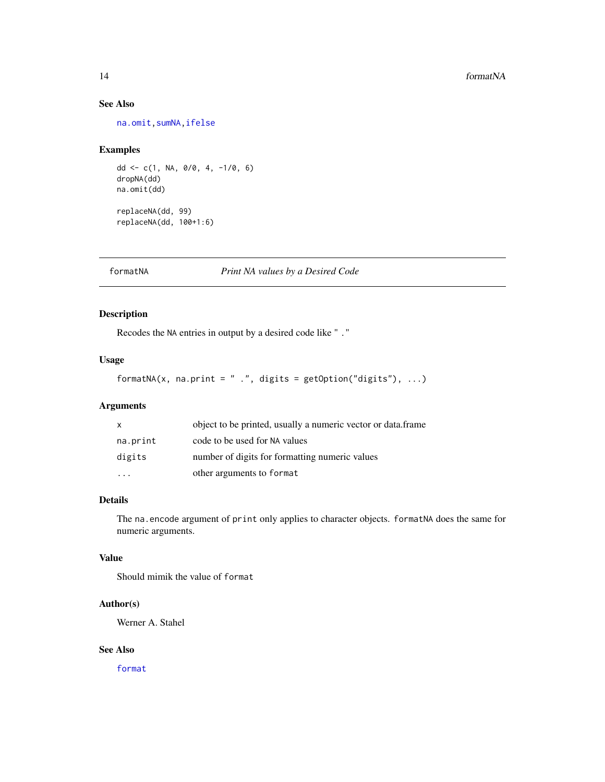# <span id="page-13-0"></span>See Also

[na.omit](#page-0-0)[,sumNA](#page-27-1)[,ifelse](#page-0-0)

# Examples

```
dd <- c(1, NA, 0/0, 4, -1/0, 6)
dropNA(dd)
na.omit(dd)
replaceNA(dd, 99)
replaceNA(dd, 100+1:6)
```
formatNA *Print NA values by a Desired Code*

# Description

Recodes the NA entries in output by a desired code like " ."

# Usage

```
formatNA(x, na.print = " .", digits = getOption("digits"), ...)
```
# Arguments

| $\mathsf{x}$ | object to be printed, usually a numeric vector or data.frame |
|--------------|--------------------------------------------------------------|
| na.print     | code to be used for NA values                                |
| digits       | number of digits for formatting numeric values               |
|              | other arguments to format                                    |

# Details

The na.encode argument of print only applies to character objects. formatNA does the same for numeric arguments.

#### Value

Should mimik the value of format

# Author(s)

Werner A. Stahel

# See Also

[format](#page-0-0)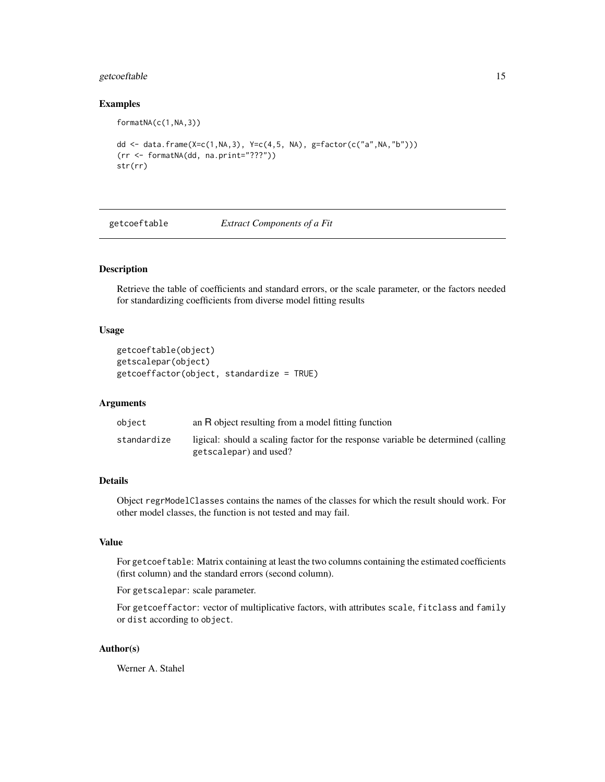# <span id="page-14-0"></span>getcoeftable 15

#### Examples

formatNA(c(1,NA,3))

```
dd <- data.frame(X=c(1,NA,3), Y=c(4,5, NA), g=factor(c("a",NA,"b")))
(rr <- formatNA(dd, na.print="???"))
str(rr)
```
<span id="page-14-1"></span>getcoeftable *Extract Components of a Fit*

# Description

Retrieve the table of coefficients and standard errors, or the scale parameter, or the factors needed for standardizing coefficients from diverse model fitting results

#### Usage

```
getcoeftable(object)
getscalepar(object)
getcoeffactor(object, standardize = TRUE)
```
#### Arguments

| object      | an R object resulting from a model fitting function                                                         |
|-------------|-------------------------------------------------------------------------------------------------------------|
| standardize | ligical: should a scaling factor for the response variable be determined (calling<br>getscalepar) and used? |

# Details

Object regrModelClasses contains the names of the classes for which the result should work. For other model classes, the function is not tested and may fail.

#### Value

For getcoeftable: Matrix containing at least the two columns containing the estimated coefficients (first column) and the standard errors (second column).

For getscalepar: scale parameter.

For getcoeffactor: vector of multiplicative factors, with attributes scale, fitclass and family or dist according to object.

# Author(s)

Werner A. Stahel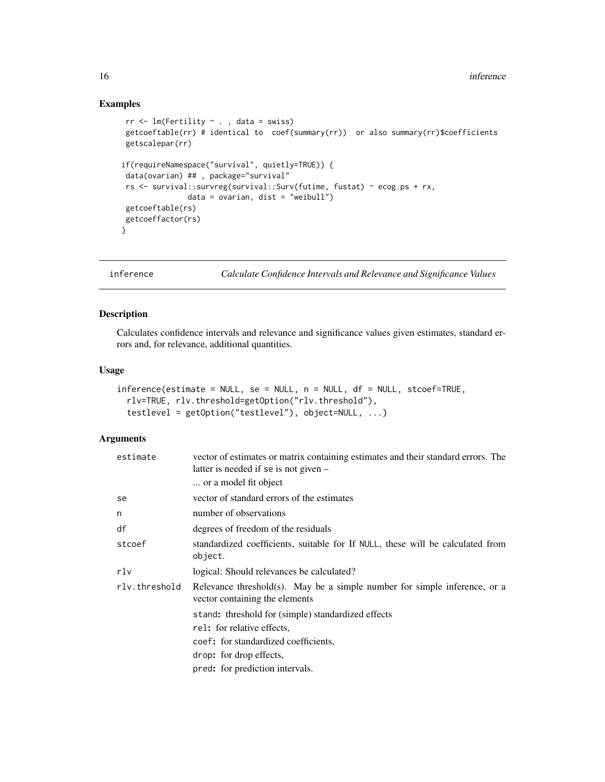# Examples

```
rr <- lm(Fertility ~ . , data = swiss)
 getcoeftable(rr) # identical to coef(summary(rr)) or also summary(rr)$coefficients
 getscalepar(rr)
if(requireNamespace("survival", quietly=TRUE)) {
 data(ovarian) ## , package="survival"
 rs <- survival::survreg(survival::Surv(futime, fustat) ~ ecog.ps + rx,
              data = ovarian, dist = "weibull")getcoeftable(rs)
 getcoeffactor(rs)
}
```
<span id="page-15-1"></span>inference *Calculate Confidence Intervals and Relevance and Significance Values*

# Description

Calculates confidence intervals and relevance and significance values given estimates, standard errors and, for relevance, additional quantities.

#### Usage

```
inference(estimate = NULL, se = NULL, n = NULL, df = NULL, stcoef=TRUE,
 rlv=TRUE, rlv.threshold=getOption("rlv.threshold"),
  testlevel = getOption("testlevel"), object=NULL, ...)
```
# Arguments

| estimate      | vector of estimates or matrix containing estimates and their standard errors. The<br>latter is needed if se is not given – |
|---------------|----------------------------------------------------------------------------------------------------------------------------|
|               | or a model fit object                                                                                                      |
| se            | vector of standard errors of the estimates                                                                                 |
| n             | number of observations                                                                                                     |
| df            | degrees of freedom of the residuals                                                                                        |
| stcoef        | standardized coefficients, suitable for If NULL, these will be calculated from<br>object.                                  |
| rlv           | logical: Should relevances be calculated?                                                                                  |
| rly.threshold | Relevance threshold(s). May be a simple number for simple inference, or a<br>vector containing the elements                |
|               | stand: threshold for (simple) standardized effects                                                                         |
|               | rel: for relative effects,                                                                                                 |
|               | coef: for standardized coefficients,                                                                                       |
|               | drop: for drop effects,                                                                                                    |
|               | pred: for prediction intervals.                                                                                            |

<span id="page-15-0"></span>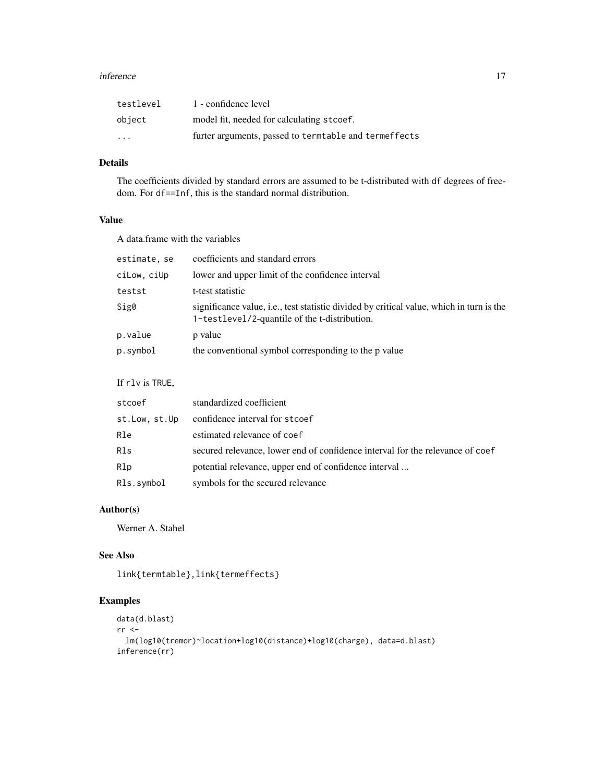#### inference 17

| testlevel | 1 - confidence level                                   |
|-----------|--------------------------------------------------------|
| object    | model fit, needed for calculating stcoef.              |
| $\cdot$   | furter arguments, passed to term table and termeffects |

# Details

The coefficients divided by standard errors are assumed to be t-distributed with df degrees of freedom. For df==Inf, this is the standard normal distribution.

# Value

A data.frame with the variables

| estimate, se | coefficients and standard errors                                                                                                          |
|--------------|-------------------------------------------------------------------------------------------------------------------------------------------|
| ciLow, ciUp  | lower and upper limit of the confidence interval                                                                                          |
| testst       | t-test statistic                                                                                                                          |
| Sig0         | significance value, i.e., test statistic divided by critical value, which in turn is the<br>1-testlevel/2-quantile of the t-distribution. |
| p.value      | p value                                                                                                                                   |
| p.symbol     | the conventional symbol corresponding to the p value                                                                                      |

# If rlv is TRUE,

| stcoef        | standardized coefficient                                                      |
|---------------|-------------------------------------------------------------------------------|
| st.Low, st.Up | confidence interval for stcoef                                                |
| Rle           | estimated relevance of coef                                                   |
| Rls           | secured relevance, lower end of confidence interval for the relevance of coef |
| R1p           | potential relevance, upper end of confidence interval                         |
| Rls.symbol    | symbols for the secured relevance                                             |

# Author(s)

Werner A. Stahel

# See Also

link{termtable},link{termeffects}

```
data(d.blast)
rr <-lm(log10(tremor)~location+log10(distance)+log10(charge), data=d.blast)
inference(rr)
```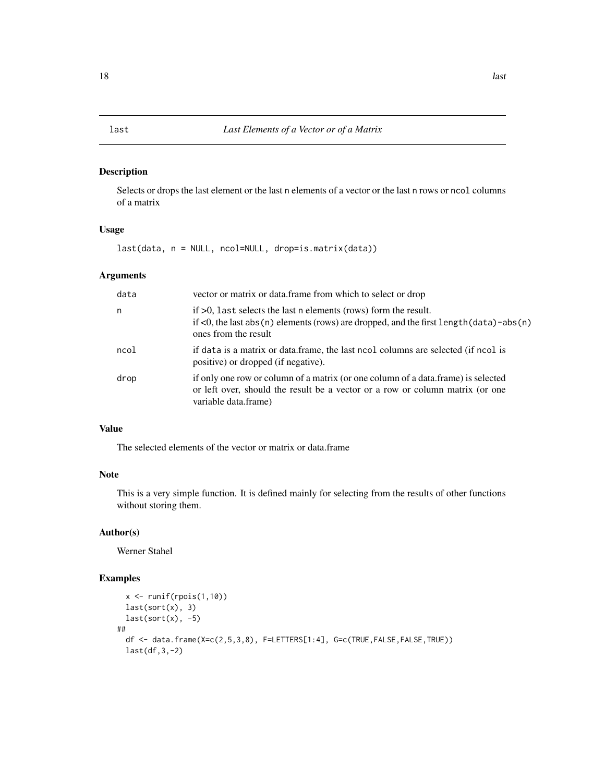<span id="page-17-0"></span>Selects or drops the last element or the last n elements of a vector or the last n rows or ncol columns of a matrix

# Usage

last(data, n = NULL, ncol=NULL, drop=is.matrix(data))

# Arguments

| data | vector or matrix or data. frame from which to select or drop                                                                                                                                   |
|------|------------------------------------------------------------------------------------------------------------------------------------------------------------------------------------------------|
| n    | if $>0$ , last selects the last n elements (rows) form the result.<br>if $\lt 0$ , the last abs (n) elements (rows) are dropped, and the first length (data) - abs (n)<br>ones from the result |
| ncol | if data is a matrix or data.frame, the last nool columns are selected (if nool is<br>positive) or dropped (if negative).                                                                       |
| drop | if only one row or column of a matrix (or one column of a data.frame) is selected<br>or left over, should the result be a vector or a row or column matrix (or one<br>variable data.frame)     |

# Value

The selected elements of the vector or matrix or data.frame

# Note

This is a very simple function. It is defined mainly for selecting from the results of other functions without storing them.

# Author(s)

Werner Stahel

```
x <- runif(rpois(1,10))
 last(sort(x), 3)
 last(sort(x), -5)##
 df <- data.frame(X=c(2,5,3,8), F=LETTERS[1:4], G=c(TRUE,FALSE,FALSE,TRUE))
 last(df,3,-2)
```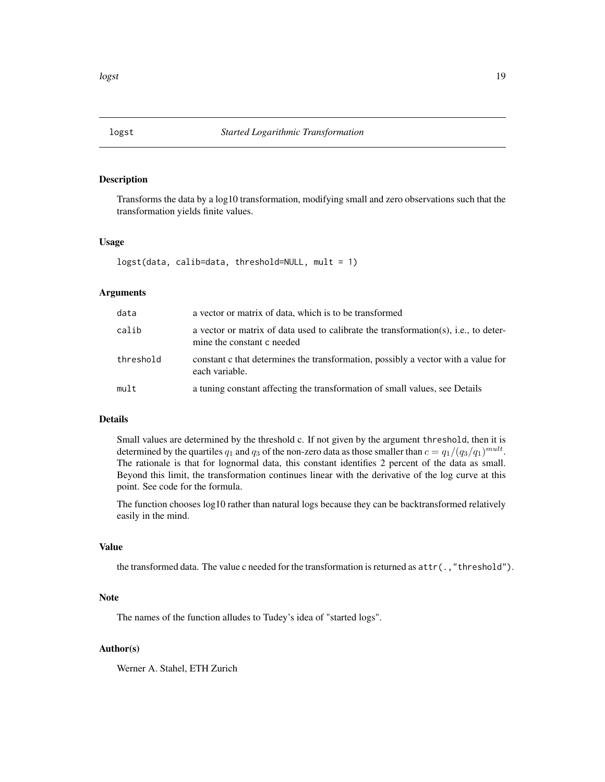<span id="page-18-0"></span>

Transforms the data by a log10 transformation, modifying small and zero observations such that the transformation yields finite values.

#### Usage

logst(data, calib=data, threshold=NULL, mult = 1)

# Arguments

| data      | a vector or matrix of data, which is to be transformed                                                            |
|-----------|-------------------------------------------------------------------------------------------------------------------|
| calib     | a vector or matrix of data used to calibrate the transformation(s), i.e., to deter-<br>mine the constant c needed |
| threshold | constant c that determines the transformation, possibly a vector with a value for<br>each variable.               |
| mult      | a tuning constant affecting the transformation of small values, see Details                                       |

#### Details

Small values are determined by the threshold c. If not given by the argument threshold, then it is determined by the quartiles  $q_1$  and  $q_3$  of the non-zero data as those smaller than  $c = q_1/(q_3/q_1)^{mult}$ . The rationale is that for lognormal data, this constant identifies 2 percent of the data as small. Beyond this limit, the transformation continues linear with the derivative of the log curve at this point. See code for the formula.

The function chooses log10 rather than natural logs because they can be backtransformed relatively easily in the mind.

#### Value

the transformed data. The value c needed for the transformation is returned as attr(.,"threshold").

## Note

The names of the function alludes to Tudey's idea of "started logs".

#### Author(s)

Werner A. Stahel, ETH Zurich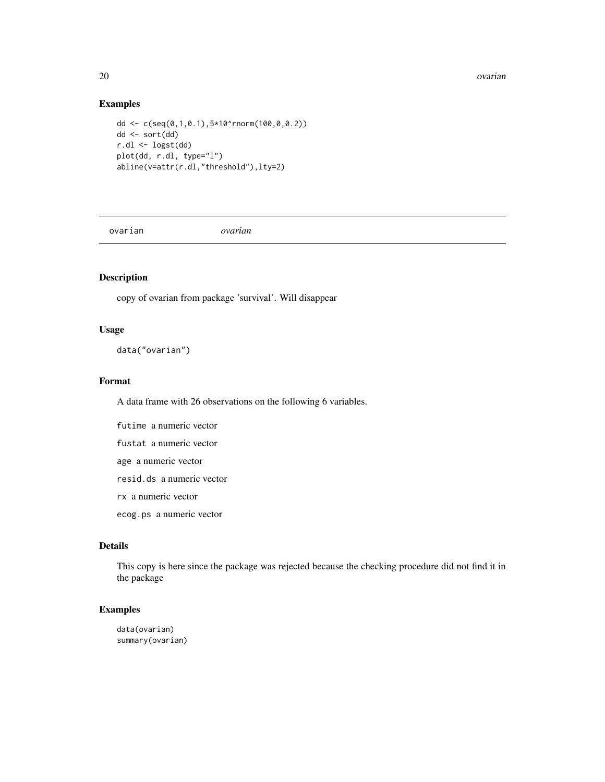#### 20 ovarian and the contract of the contract of the contract of the contract of the contract of the contract of the contract of the contract of the contract of the contract of the contract of the contract of the contract of

# Examples

```
dd <- c(seq(0,1,0.1),5*10^rnorm(100,0,0.2))
dd <- sort(dd)
r.dl <- logst(dd)
plot(dd, r.dl, type="l")
abline(v=attr(r.dl,"threshold"),lty=2)
```
ovarian *ovarian*

# Description

copy of ovarian from package 'survival'. Will disappear

# Usage

data("ovarian")

# Format

A data frame with 26 observations on the following 6 variables.

futime a numeric vector

fustat a numeric vector

age a numeric vector

resid.ds a numeric vector

rx a numeric vector

ecog.ps a numeric vector

# Details

This copy is here since the package was rejected because the checking procedure did not find it in the package

# Examples

data(ovarian) summary(ovarian)

<span id="page-19-0"></span>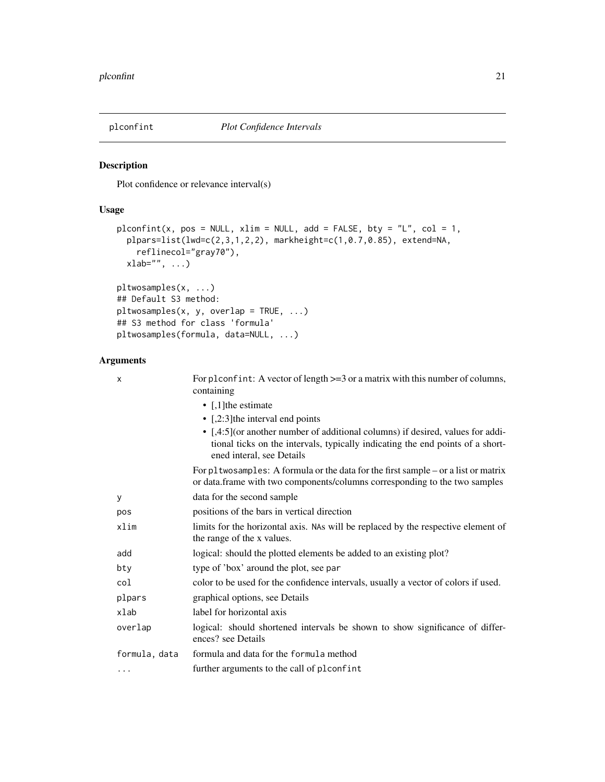<span id="page-20-1"></span><span id="page-20-0"></span>

Plot confidence or relevance interval(s)

#### Usage

```
plconfint(x, pos = NULL, xlim = NULL, add = FALSE, bty = "L", col = 1,
 plpars=list(lwd=c(2,3,1,2,2), markheight=c(1,0.7,0.85), extend=NA,
    reflinecol="gray70"),
 xlab="", ...)pltwosamples(x, ...)
## Default S3 method:
pltwosamples(x, y, overlap = TRUE, ...)
## S3 method for class 'formula'
pltwosamples(formula, data=NULL, ...)
```
# Arguments

| X             | For plconfint: A vector of length $>=$ 3 or a matrix with this number of columns,<br>containing                                                                                                |
|---------------|------------------------------------------------------------------------------------------------------------------------------------------------------------------------------------------------|
|               | • $\lceil$ , 1] the estimate                                                                                                                                                                   |
|               | • $[2:3]$ the interval end points                                                                                                                                                              |
|               | • [,4:5] (or another number of additional columns) if desired, values for addi-<br>tional ticks on the intervals, typically indicating the end points of a short-<br>ened interal, see Details |
|               | For pltwosamples: A formula or the data for the first sample $-$ or a list or matrix<br>or data.frame with two components/columns corresponding to the two samples                             |
| У             | data for the second sample                                                                                                                                                                     |
| pos           | positions of the bars in vertical direction                                                                                                                                                    |
| xlim          | limits for the horizontal axis. NAs will be replaced by the respective element of<br>the range of the x values.                                                                                |
| add           | logical: should the plotted elements be added to an existing plot?                                                                                                                             |
| bty           | type of 'box' around the plot, see par                                                                                                                                                         |
| col           | color to be used for the confidence intervals, usually a vector of colors if used.                                                                                                             |
| plpars        | graphical options, see Details                                                                                                                                                                 |
| xlab          | label for horizontal axis                                                                                                                                                                      |
| overlap       | logical: should shortened intervals be shown to show significance of differ-<br>ences? see Details                                                                                             |
| formula, data | formula and data for the formula method                                                                                                                                                        |
| $\cdots$      | further arguments to the call of plconfint                                                                                                                                                     |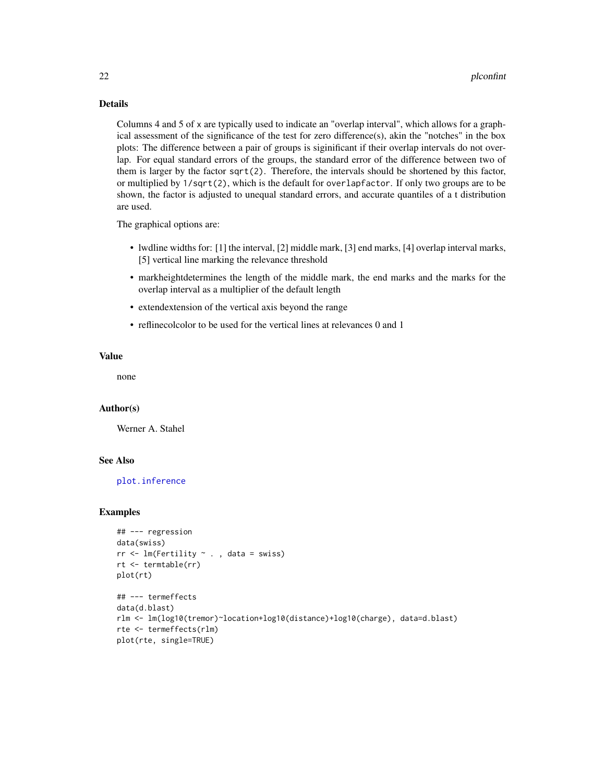# <span id="page-21-0"></span>Details

Columns 4 and 5 of x are typically used to indicate an "overlap interval", which allows for a graphical assessment of the significance of the test for zero difference(s), akin the "notches" in the box plots: The difference between a pair of groups is siginificant if their overlap intervals do not overlap. For equal standard errors of the groups, the standard error of the difference between two of them is larger by the factor sqrt(2). Therefore, the intervals should be shortened by this factor, or multiplied by 1/sqrt(2), which is the default for overlapfactor. If only two groups are to be shown, the factor is adjusted to unequal standard errors, and accurate quantiles of a t distribution are used.

The graphical options are:

- lwdline widths for: [1] the interval, [2] middle mark, [3] end marks, [4] overlap interval marks, [5] vertical line marking the relevance threshold
- markheightdetermines the length of the middle mark, the end marks and the marks for the overlap interval as a multiplier of the default length
- extendextension of the vertical axis beyond the range
- reflinecolcolor to be used for the vertical lines at relevances 0 and 1

#### Value

none

#### Author(s)

Werner A. Stahel

#### See Also

[plot.inference](#page-22-1)

```
## --- regression
data(swiss)
rr <- lm(Fertility \sim ., data = swiss)
rt <- termtable(rr)
plot(rt)
## --- termeffects
data(d.blast)
rlm <- lm(log10(tremor)~location+log10(distance)+log10(charge), data=d.blast)
rte <- termeffects(rlm)
plot(rte, single=TRUE)
```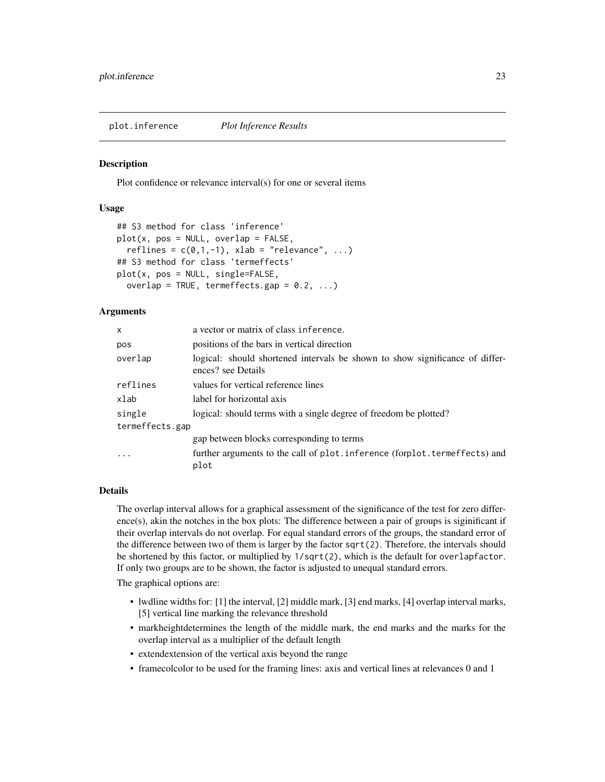<span id="page-22-1"></span><span id="page-22-0"></span>plot.inference *Plot Inference Results*

#### **Description**

Plot confidence or relevance interval(s) for one or several items

# Usage

```
## S3 method for class 'inference'
plot(x, pos = NULL, overlap = FALSE,reflines = c(0,1,-1), xlab = "relevance", ...)
## S3 method for class 'termeffects'
plot(x, pos = NULL, single=FALSE,
  overlap = TRUE, termeffects.gap = 0.2, ...)
```
# Arguments

| $\mathsf{x}$    | a vector or matrix of class inference.                                                             |  |
|-----------------|----------------------------------------------------------------------------------------------------|--|
| pos             | positions of the bars in vertical direction                                                        |  |
| overlap         | logical: should shortened intervals be shown to show significance of differ-<br>ences? see Details |  |
| reflines        | values for vertical reference lines                                                                |  |
| xlab            | label for horizontal axis                                                                          |  |
| single          | logical: should terms with a single degree of freedom be plotted?                                  |  |
| termeffects.gap |                                                                                                    |  |
|                 | gap between blocks corresponding to terms                                                          |  |
| $\cdot$         | further arguments to the call of plot. inference (forplot. termeffects) and<br>plot                |  |

# Details

The overlap interval allows for a graphical assessment of the significance of the test for zero difference(s), akin the notches in the box plots: The difference between a pair of groups is siginificant if their overlap intervals do not overlap. For equal standard errors of the groups, the standard error of the difference between two of them is larger by the factor sqrt(2). Therefore, the intervals should be shortened by this factor, or multiplied by 1/sqrt(2), which is the default for overlapfactor. If only two groups are to be shown, the factor is adjusted to unequal standard errors.

The graphical options are:

- lwdline widths for: [1] the interval, [2] middle mark, [3] end marks, [4] overlap interval marks, [5] vertical line marking the relevance threshold
- markheightdetermines the length of the middle mark, the end marks and the marks for the overlap interval as a multiplier of the default length
- extendextension of the vertical axis beyond the range
- framecolcolor to be used for the framing lines: axis and vertical lines at relevances 0 and 1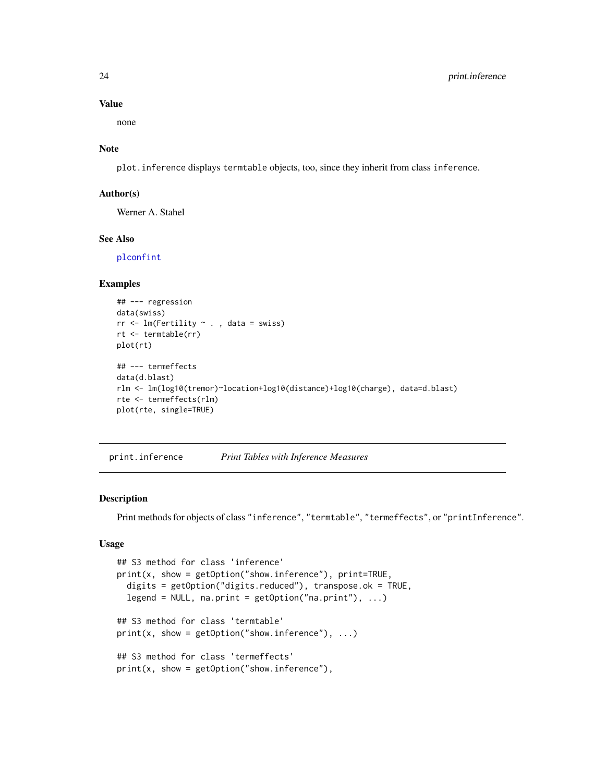#### Value

none

# Note

plot.inference displays termtable objects, too, since they inherit from class inference.

## Author(s)

Werner A. Stahel

# See Also

[plconfint](#page-20-1)

#### Examples

```
## --- regression
data(swiss)
rr <- lm(Fertility ~ . , data = swiss)
rt <- termtable(rr)
plot(rt)
## --- termeffects
data(d.blast)
rlm <- lm(log10(tremor)~location+log10(distance)+log10(charge), data=d.blast)
rte <- termeffects(rlm)
plot(rte, single=TRUE)
```
<span id="page-23-1"></span>print.inference *Print Tables with Inference Measures*

# Description

Print methods for objects of class "inference", "termtable", "termeffects", or "printInference".

#### Usage

```
## S3 method for class 'inference'
print(x, show = getOption("show.inference"), print=TRUE,
  digits = getOption("digits.reduced"), transpose.ok = TRUE,
  legend = NULL, na.print = getOption("na.print"), ...)## S3 method for class 'termtable'
print(x, show = getOption("show.inference"), ...)## S3 method for class 'termeffects'
print(x, show = getOption("show.inference"),
```
<span id="page-23-0"></span>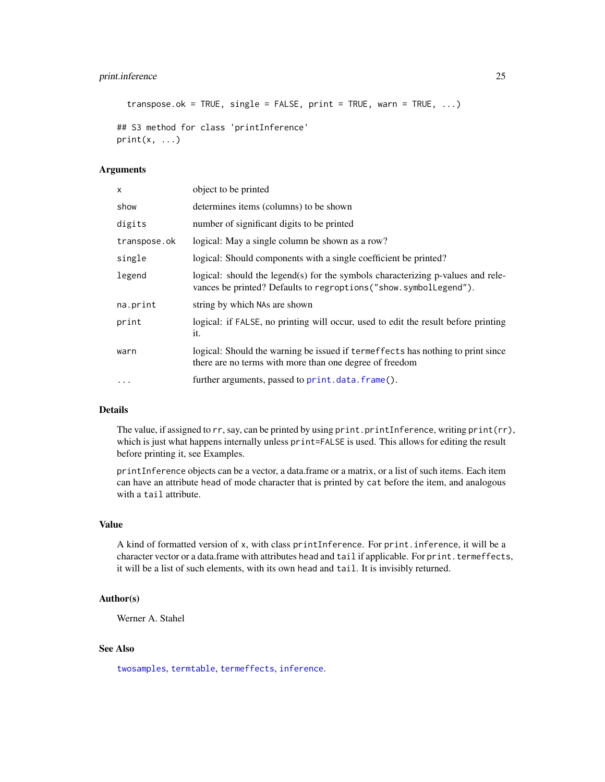# <span id="page-24-0"></span>print.inference 25

```
transpose.ok = TRUE, single = FALSE, print = TRUE, warn = TRUE, \ldots)
```

```
## S3 method for class 'printInference'
print(x, \ldots)
```
#### Arguments

| X            | object to be printed                                                                                                                                 |
|--------------|------------------------------------------------------------------------------------------------------------------------------------------------------|
| show         | determines items (columns) to be shown                                                                                                               |
| digits       | number of significant digits to be printed                                                                                                           |
| transpose.ok | logical: May a single column be shown as a row?                                                                                                      |
| single       | logical: Should components with a single coefficient be printed?                                                                                     |
| legend       | logical: should the legend(s) for the symbols characterizing p-values and rele-<br>vances be printed? Defaults to regroptions ("show.symbollegend"). |
| na.print     | string by which NAs are shown                                                                                                                        |
| print        | logical: if FALSE, no printing will occur, used to edit the result before printing<br>it.                                                            |
| warn         | logical: Should the warning be issued if termeffects has nothing to print since<br>there are no terms with more than one degree of freedom           |
| $\ddotsc$    | further arguments, passed to print.data.frame().                                                                                                     |

# Details

The value, if assigned to rr, say, can be printed by using print.printInference, writing print(rr), which is just what happens internally unless print=FALSE is used. This allows for editing the result before printing it, see Examples.

printInference objects can be a vector, a data.frame or a matrix, or a list of such items. Each item can have an attribute head of mode character that is printed by cat before the item, and analogous with a tail attribute.

# Value

A kind of formatted version of x, with class printInference. For print.inference, it will be a character vector or a data.frame with attributes head and tail if applicable. For print.termeffects, it will be a list of such elements, with its own head and tail. It is invisibly returned.

#### Author(s)

Werner A. Stahel

# See Also

[twosamples](#page-31-1), [termtable](#page-29-1), [termeffects](#page-28-1), [inference](#page-15-1).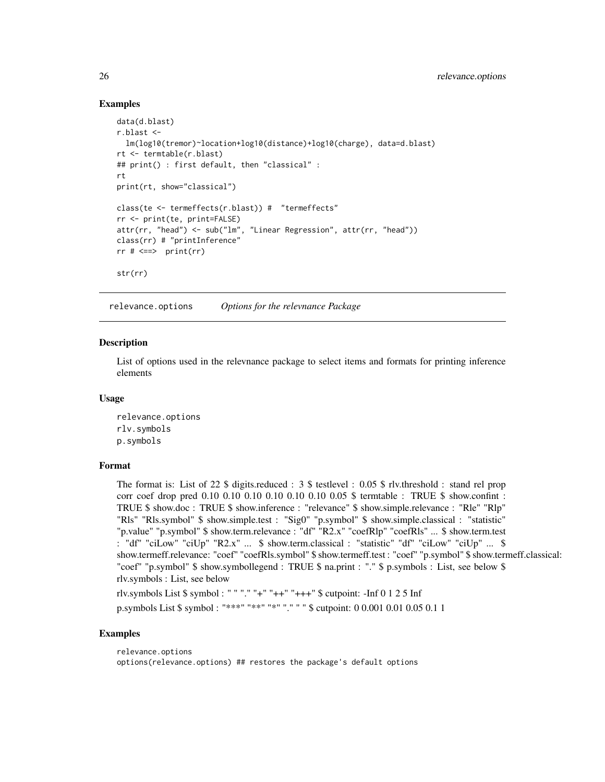# Examples

```
data(d.blast)
r.blast <-
  lm(log10(tremor)~location+log10(distance)+log10(charge), data=d.blast)
rt <- termtable(r.blast)
## print() : first default, then "classical" :
rt
print(rt, show="classical")
class(te <- termeffects(r.blast)) # "termeffects"
rr <- print(te, print=FALSE)
attr(rr, "head") <- sub("lm", "Linear Regression", attr(rr, "head"))
class(rr) # "printInference"
rr # \iff print(rr)
str(rr)
```
relevance.options *Options for the relevnance Package*

# Description

List of options used in the relevnance package to select items and formats for printing inference elements

#### Usage

relevance.options rlv.symbols p.symbols

#### Format

The format is: List of 22 \$ digits.reduced : 3 \$ testlevel : 0.05 \$ rlv.threshold : stand rel prop corr coef drop pred 0.10 0.10 0.10 0.10 0.10 0.10 0.05 \$ termtable : TRUE \$ show.confint : TRUE \$ show.doc : TRUE \$ show.inference : "relevance" \$ show.simple.relevance : "Rle" "Rlp" "Rls" "Rls.symbol" \$ show.simple.test : "Sig0" "p.symbol" \$ show.simple.classical : "statistic" "p.value" "p.symbol" \$ show.term.relevance : "df" "R2.x" "coefRlp" "coefRls" ... \$ show.term.test : "df" "ciLow" "ciUp" "R2.x" ... \$ show.term.classical : "statistic" "df" "ciLow" "ciUp" ... \$ show.termeff.relevance: "coef" "coefRls.symbol" \$ show.termeff.test : "coef" "p.symbol" \$ show.termeff.classical: "coef" "p.symbol" \$ show.symbollegend : TRUE \$ na.print : "." \$ p.symbols : List, see below \$ rlv.symbols : List, see below

rlv.symbols List \$ symbol : " " "." "+" "++" "+++" \$ cutpoint: -Inf 0 1 2 5 Inf

p.symbols List \$ symbol : "\*\*\*" "\*\*" "\*" "." " " \$ cutpoint: 0 0.001 0.01 0.05 0.1 1

```
relevance.options
options(relevance.options) ## restores the package's default options
```
<span id="page-25-0"></span>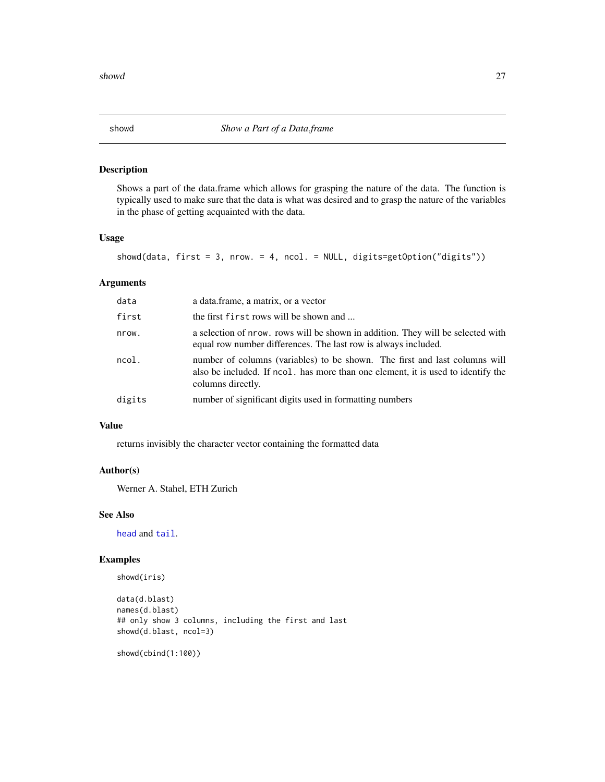<span id="page-26-0"></span>

Shows a part of the data.frame which allows for grasping the nature of the data. The function is typically used to make sure that the data is what was desired and to grasp the nature of the variables in the phase of getting acquainted with the data.

# Usage

```
showd(data, first = 3, nrow. = 4, ncol. = NULL, digits=getOption("digits"))
```
# Arguments

| data   | a data.frame, a matrix, or a vector                                                                                                                                                 |
|--------|-------------------------------------------------------------------------------------------------------------------------------------------------------------------------------------|
| first  | the first first rows will be shown and                                                                                                                                              |
| nrow.  | a selection of nrow, rows will be shown in addition. They will be selected with<br>equal row number differences. The last row is always included.                                   |
| ncol.  | number of columns (variables) to be shown. The first and last columns will<br>also be included. If ncol, has more than one element, it is used to identify the<br>columns directly. |
| digits | number of significant digits used in formatting numbers                                                                                                                             |
|        |                                                                                                                                                                                     |

# Value

returns invisibly the character vector containing the formatted data

# Author(s)

Werner A. Stahel, ETH Zurich

# See Also

[head](#page-0-0) and [tail](#page-0-0).

```
showd(iris)
```

```
data(d.blast)
names(d.blast)
## only show 3 columns, including the first and last
showd(d.blast, ncol=3)
```

```
showd(cbind(1:100))
```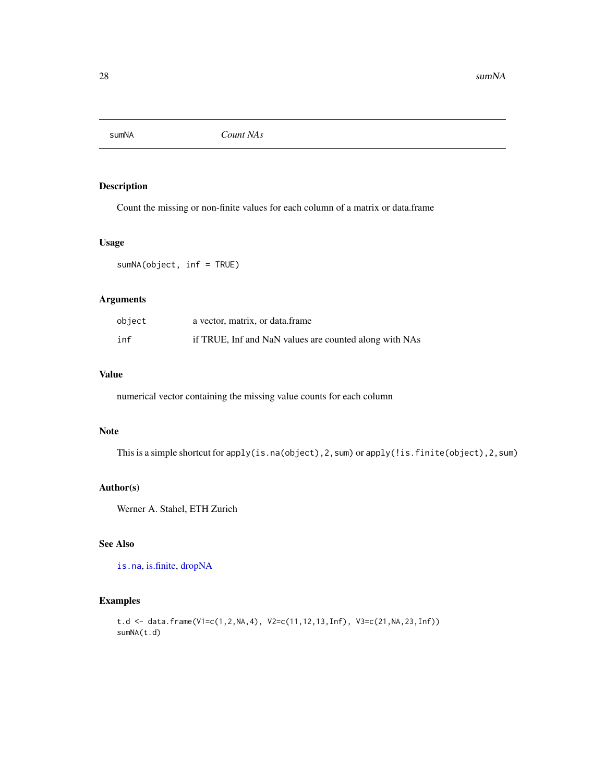<span id="page-27-1"></span><span id="page-27-0"></span>

Count the missing or non-finite values for each column of a matrix or data.frame

#### Usage

sumNA(object, inf = TRUE)

# Arguments

| object | a vector, matrix, or data frame                        |
|--------|--------------------------------------------------------|
| inf    | if TRUE, Inf and NaN values are counted along with NAs |

# Value

numerical vector containing the missing value counts for each column

#### Note

This is a simple shortcut for apply(is.na(object),2,sum) or apply(!is.finite(object),2,sum)

# Author(s)

Werner A. Stahel, ETH Zurich

# See Also

[is.na](#page-0-0), [is.finite,](#page-0-0) [dropNA](#page-12-1)

```
t.d <- data.frame(V1=c(1,2,NA,4), V2=c(11,12,13,Inf), V3=c(21,NA,23,Inf))
sumNA(t.d)
```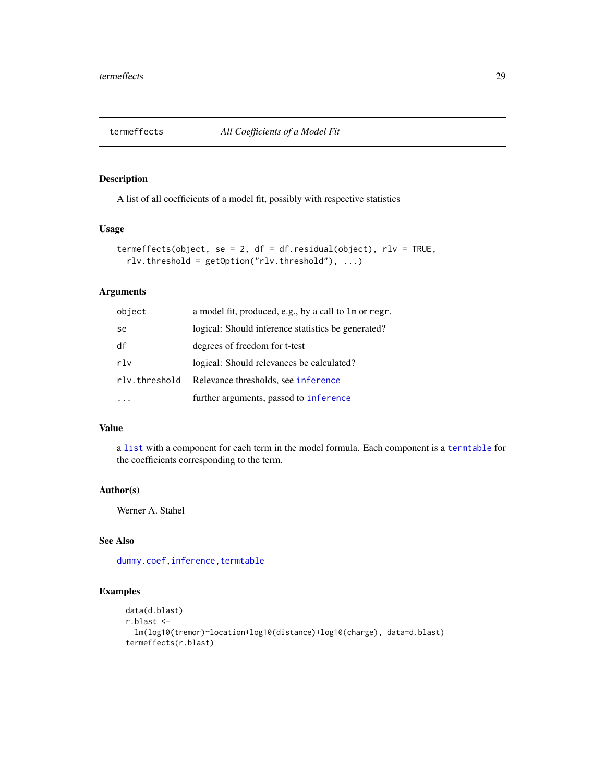<span id="page-28-1"></span><span id="page-28-0"></span>

A list of all coefficients of a model fit, possibly with respective statistics

# Usage

```
termeffects(object, se = 2, df = df.residual(object), rlv = TRUE,
 rlv.threshold = getOption("rlv.threshold"), ...)
```
#### Arguments

| object        | a model fit, produced, e.g., by a call to lm or regr. |
|---------------|-------------------------------------------------------|
| se            | logical: Should inference statistics be generated?    |
| df            | degrees of freedom for t-test                         |
| rlv           | logical: Should relevances be calculated?             |
| rlv.threshold | Relevance thresholds, see inference                   |
|               | further arguments, passed to inference                |

# Value

a [list](#page-0-0) with a component for each term in the model formula. Each component is a [termtable](#page-29-1) for the coefficients corresponding to the term.

# Author(s)

Werner A. Stahel

# See Also

[dummy.coef](#page-0-0), inference, [termtable](#page-29-1)

```
data(d.blast)
r.blast <-
  lm(log10(tremor)~location+log10(distance)+log10(charge), data=d.blast)
termeffects(r.blast)
```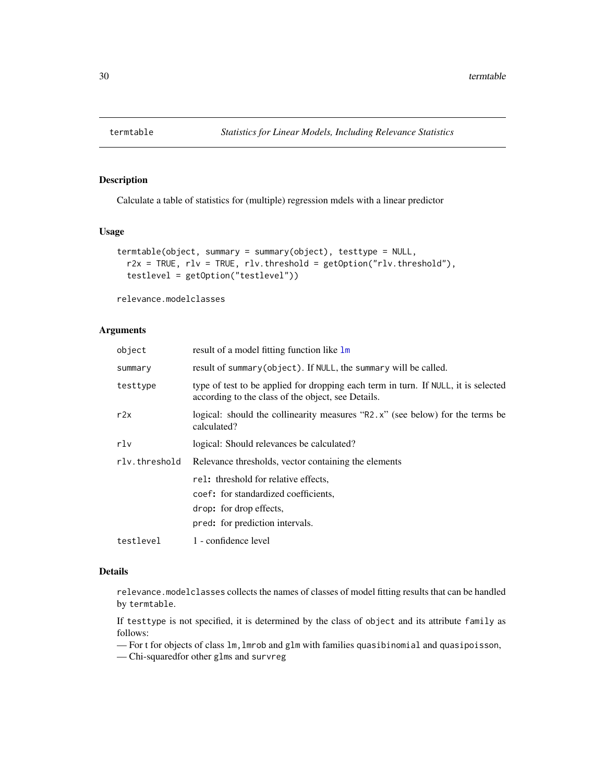<span id="page-29-1"></span><span id="page-29-0"></span>

Calculate a table of statistics for (multiple) regression mdels with a linear predictor

#### Usage

```
termtable(object, summary = summary(object), testtype = NULL,
 r2x = TRUE, rlv = TRUE, rlv.threshold = getOption("rlv.threshold"),
  testlevel = getOption("testlevel"))
```
relevance.modelclasses

#### Arguments

| object        | result of a model fitting function like 1m                                                                                               |  |
|---------------|------------------------------------------------------------------------------------------------------------------------------------------|--|
| summary       | result of summary (object). If NULL, the summary will be called.                                                                         |  |
| testtype      | type of test to be applied for dropping each term in turn. If NULL, it is selected<br>according to the class of the object, see Details. |  |
| r2x           | logical: should the collinearity measures "R2.x" (see below) for the terms be<br>calculated?                                             |  |
| rlv           | logical: Should relevances be calculated?                                                                                                |  |
| rly.threshold | Relevance thresholds, vector containing the elements                                                                                     |  |
|               | rel: threshold for relative effects,                                                                                                     |  |
|               | coef: for standardized coefficients,                                                                                                     |  |
|               | drop: for drop effects,                                                                                                                  |  |
|               | pred: for prediction intervals.                                                                                                          |  |
| testlevel     | 1 - confidence level                                                                                                                     |  |

#### Details

relevance.modelclasses collects the names of classes of model fitting results that can be handled by termtable.

If testtype is not specified, it is determined by the class of object and its attribute family as follows:

— For t for objects of class lm,lmrob and glm with families quasibinomial and quasipoisson,

— Chi-squaredfor other glms and survreg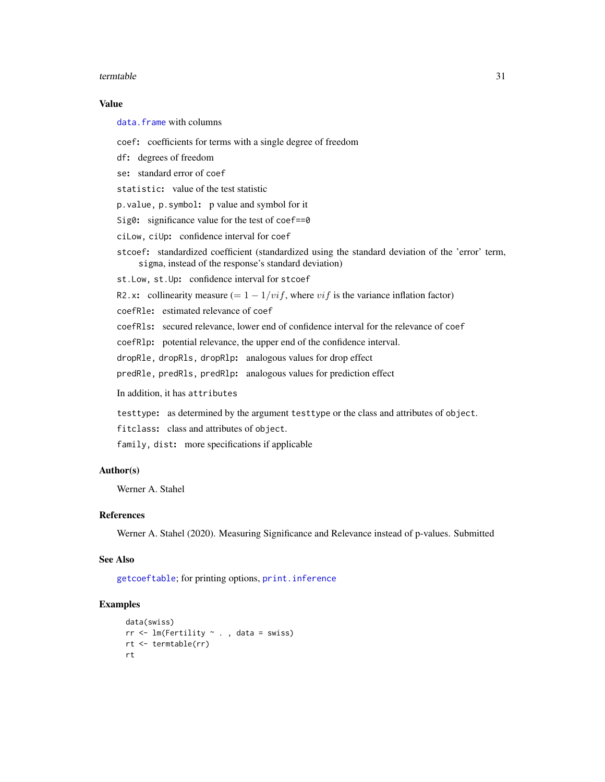#### <span id="page-30-0"></span>termtable 31

#### Value

[data.frame](#page-0-0) with columns

coef: coefficients for terms with a single degree of freedom

df: degrees of freedom

se: standard error of coef

statistic: value of the test statistic

p.value, p.symbol: p value and symbol for it

Sig0: significance value for the test of coef==0

ciLow, ciUp: confidence interval for coef

stcoef: standardized coefficient (standardized using the standard deviation of the 'error' term, sigma, instead of the response's standard deviation)

st.Low, st.Up: confidence interval for stcoef

R2.x: collinearity measure (=  $1 - 1/vif$ , where  $vif$  is the variance inflation factor)

coefRle: estimated relevance of coef

coefRls: secured relevance, lower end of confidence interval for the relevance of coef

coefRlp: potential relevance, the upper end of the confidence interval.

dropRle, dropRls, dropRlp: analogous values for drop effect

predRle, predRls, predRlp: analogous values for prediction effect

In addition, it has attributes

testtype: as determined by the argument testtype or the class and attributes of object.

fitclass: class and attributes of object.

family, dist: more specifications if applicable

# Author(s)

Werner A. Stahel

#### References

Werner A. Stahel (2020). Measuring Significance and Relevance instead of p-values. Submitted

### See Also

[getcoeftable](#page-14-1); for printing options, [print.inference](#page-23-1)

```
data(swiss)
rr <- lm(Fertility ~ . , data = swiss)
rt <- termtable(rr)
rt
```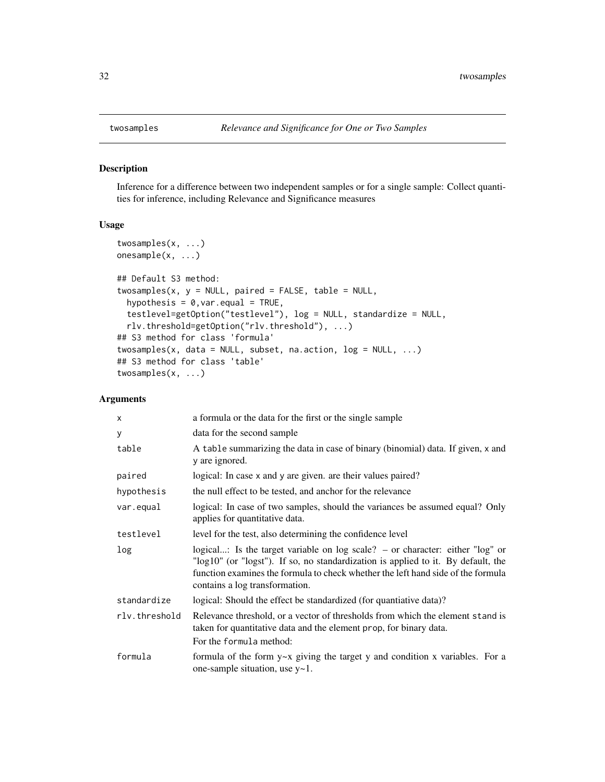Inference for a difference between two independent samples or for a single sample: Collect quantities for inference, including Relevance and Significance measures

#### Usage

```
twosamples(x, ...)
onesample(x, ...)
## Default S3 method:
twosamples(x, y = NULL, paired = FALSE, table = NULL,
  hypothesis = 0, var. equal = TRUE,
  testlevel=getOption("testlevel"), log = NULL, standardize = NULL,
  rlv.threshold=getOption("rlv.threshold"), ...)
## S3 method for class 'formula'
twosamples(x, data = NULL, subset, na.action, log = NULL, ...)
## S3 method for class 'table'
twosamples(x, ...)
```
#### Arguments

| X             | a formula or the data for the first or the single sample                                                                                                                                                                                                                                   |  |
|---------------|--------------------------------------------------------------------------------------------------------------------------------------------------------------------------------------------------------------------------------------------------------------------------------------------|--|
| У             | data for the second sample                                                                                                                                                                                                                                                                 |  |
| table         | A table summarizing the data in case of binary (binomial) data. If given, x and<br>y are ignored.                                                                                                                                                                                          |  |
| paired        | logical: In case x and y are given, are their values paired?                                                                                                                                                                                                                               |  |
| hypothesis    | the null effect to be tested, and anchor for the relevance                                                                                                                                                                                                                                 |  |
| var.equal     | logical: In case of two samples, should the variances be assumed equal? Only<br>applies for quantitative data.                                                                                                                                                                             |  |
| testlevel     | level for the test, also determining the confidence level                                                                                                                                                                                                                                  |  |
| log           | logical: Is the target variable on log scale? $-$ or character: either "log" or<br>"log10" (or "logst"). If so, no standardization is applied to it. By default, the<br>function examines the formula to check whether the left hand side of the formula<br>contains a log transformation. |  |
| standardize   | logical: Should the effect be standardized (for quantiative data)?                                                                                                                                                                                                                         |  |
| rly.threshold | Relevance threshold, or a vector of thresholds from which the element stand is<br>taken for quantitative data and the element prop, for binary data.                                                                                                                                       |  |
|               | For the formula method:                                                                                                                                                                                                                                                                    |  |
| formula       | formula of the form $y \sim x$ giving the target y and condition x variables. For a<br>one-sample situation, use y~1.                                                                                                                                                                      |  |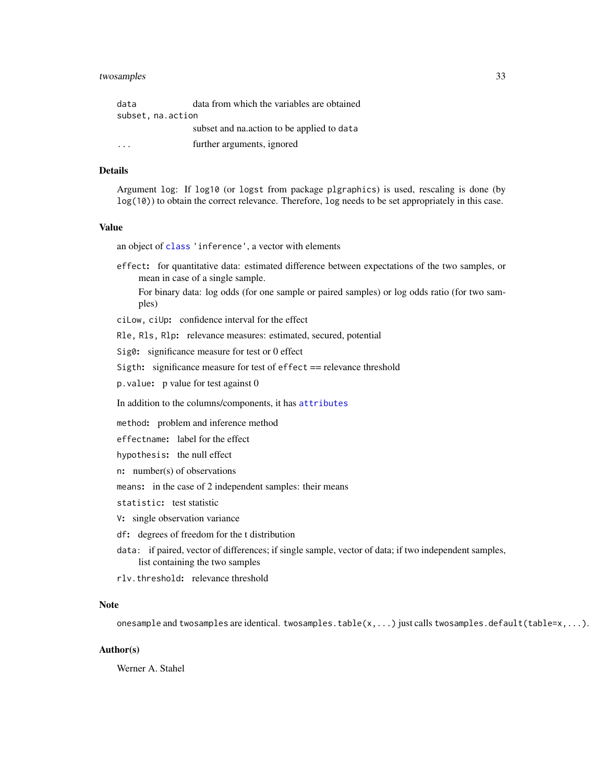# <span id="page-32-0"></span>twosamples 33

| data              | data from which the variables are obtained |  |
|-------------------|--------------------------------------------|--|
| subset, na.action |                                            |  |
|                   | subset and nataction to be applied to data |  |
|                   | further arguments, ignored                 |  |

# **Details**

Argument log: If log10 (or logst from package plgraphics) is used, rescaling is done (by log(10)) to obtain the correct relevance. Therefore, log needs to be set appropriately in this case.

# Value

an object of [class](#page-0-0) 'inference', a vector with elements

effect: for quantitative data: estimated difference between expectations of the two samples, or mean in case of a single sample.

For binary data: log odds (for one sample or paired samples) or log odds ratio (for two samples)

ciLow, ciUp: confidence interval for the effect

Rle, Rls, Rlp: relevance measures: estimated, secured, potential

Sig0: significance measure for test or 0 effect

Sigth: significance measure for test of effect == relevance threshold

p.value: p value for test against 0

In addition to the columns/components, it has [attributes](#page-0-0)

method: problem and inference method

effectname: label for the effect

hypothesis: the null effect

n: number(s) of observations

means: in the case of 2 independent samples: their means

statistic: test statistic

V: single observation variance

df: degrees of freedom for the t distribution

- data: if paired, vector of differences; if single sample, vector of data; if two independent samples, list containing the two samples
- rlv.threshold: relevance threshold

#### Note

onesample and twosamples are identical. twosamples.table( $x, \ldots$ ) just calls twosamples.default(table= $x, \ldots$ ).

#### Author(s)

Werner A. Stahel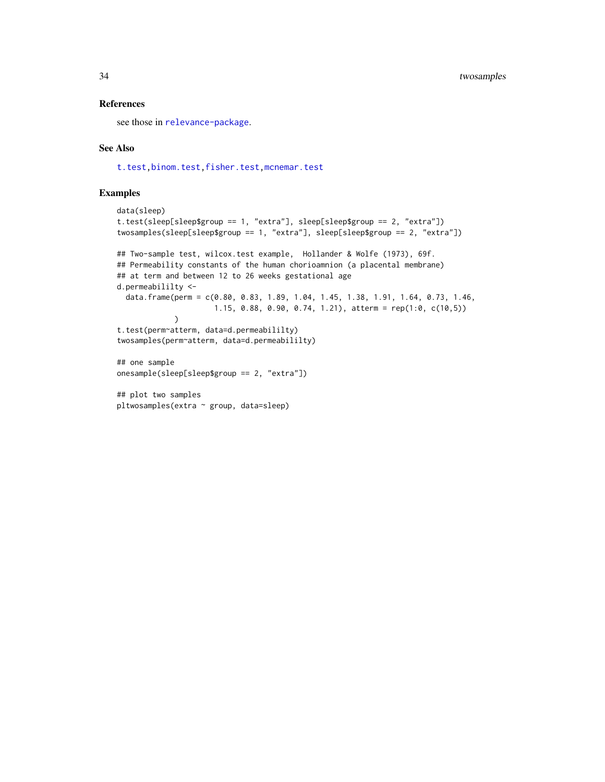#### <span id="page-33-0"></span>References

see those in [relevance-package](#page-1-1).

#### See Also

[t.test,binom.test,fisher.test,mcnemar.test](#page-0-0)

pltwosamples(extra ~ group, data=sleep)

```
data(sleep)
t.test(sleep[sleep$group == 1, "extra"], sleep[sleep$group == 2, "extra"])
twosamples(sleep[sleep$group == 1, "extra"], sleep[sleep$group == 2, "extra"])
## Two-sample test, wilcox.test example, Hollander & Wolfe (1973), 69f.
## Permeability constants of the human chorioamnion (a placental membrane)
## at term and between 12 to 26 weeks gestational age
d.permeabililty <-
  data.frame(perm = c(0.80, 0.83, 1.89, 1.04, 1.45, 1.38, 1.91, 1.64, 0.73, 1.46,
                      1.15, 0.88, 0.90, 0.74, 1.21), atterm = rep(1:0, c(10,5))
            )
t.test(perm~atterm, data=d.permeabililty)
twosamples(perm~atterm, data=d.permeabililty)
## one sample
onesample(sleep[sleep$group == 2, "extra"])
## plot two samples
```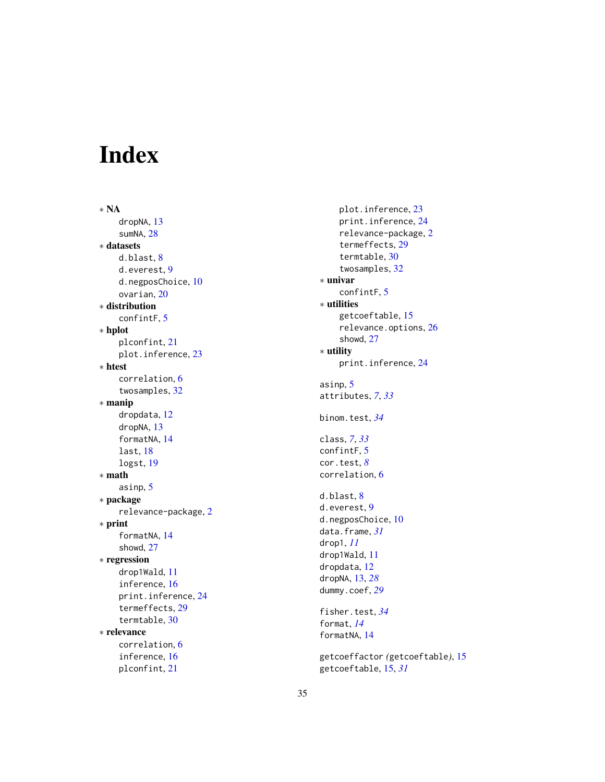# <span id="page-34-0"></span>Index

∗ NA dropNA , [13](#page-12-0) sumNA, [28](#page-27-0) ∗ datasets d.blast, [8](#page-7-0) d.everest , [9](#page-8-0) d.negposChoice , [10](#page-9-0) ovarian , [20](#page-19-0) ∗ distribution confintF , [5](#page-4-0) ∗ hplot plconfint , [21](#page-20-0) plot.inference , [23](#page-22-0) ∗ htest correlation , [6](#page-5-0) twosamples , [32](#page-31-0) ∗ manip dropdata , [12](#page-11-0) dropNA , [13](#page-12-0) formatNA , [14](#page-13-0) last , [18](#page-17-0) logst , [19](#page-18-0) ∗ math asinp , [5](#page-4-0) ∗ package relevance-package , [2](#page-1-0) ∗ print formatNA , [14](#page-13-0) showd , [27](#page-26-0) ∗ regression drop1Wald , [11](#page-10-0) inference , [16](#page-15-0) print.inference , [24](#page-23-0) termeffects , [29](#page-28-0) termtable , [30](#page-29-0) ∗ relevance correlation , [6](#page-5-0) inference , [16](#page-15-0) plconfint , [21](#page-20-0)

plot.inference , [23](#page-22-0) print.inference , [24](#page-23-0) relevance-package , [2](#page-1-0) termeffects , [29](#page-28-0) termtable , [30](#page-29-0) twosamples , [32](#page-31-0) ∗ univar confintF , [5](#page-4-0) ∗ utilities getcoeftable , [15](#page-14-0) relevance.options , [26](#page-25-0) showd , [27](#page-26-0) ∗ utility print.inference , [24](#page-23-0) asinp , [5](#page-4-0) attributes , *[7](#page-6-0)* , *[33](#page-32-0)* binom.test , *[34](#page-33-0)* class , *[7](#page-6-0)* , *[33](#page-32-0)* confintF , [5](#page-4-0) cor.test , *[8](#page-7-0)* correlation , [6](#page-5-0) d.blast, <mark>[8](#page-7-0)</mark> d.everest , [9](#page-8-0) d.negposChoice, [10](#page-9-0) data.frame , *[31](#page-30-0)* drop1 , *[11](#page-10-0)* drop1Wald , [11](#page-10-0) dropdata , [12](#page-11-0) dropNA , [13](#page-12-0) , *[28](#page-27-0)* dummy.coef , *[29](#page-28-0)* fisher.test , *[34](#page-33-0)* format , *[14](#page-13-0)* formatNA , [14](#page-13-0) getcoeffactor *(*getcoeftable *)* , [15](#page-14-0) getcoeftable , [15](#page-14-0) , *[31](#page-30-0)*